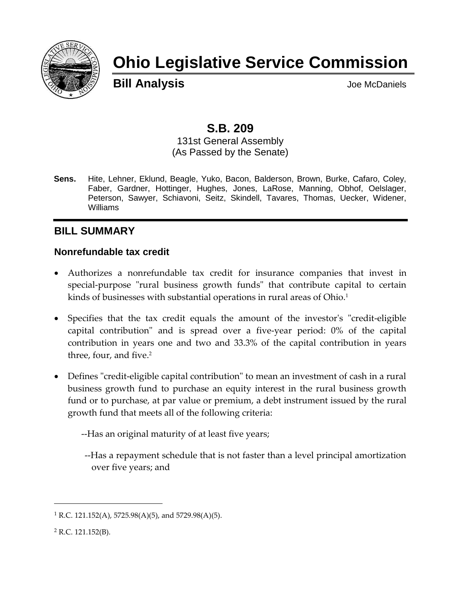

# **Ohio Legislative Service Commission**

**Bill Analysis Bill Analysis** 

## **S.B. 209**

131st General Assembly (As Passed by the Senate)

**Sens.** Hite, Lehner, Eklund, Beagle, Yuko, Bacon, Balderson, Brown, Burke, Cafaro, Coley, Faber, Gardner, Hottinger, Hughes, Jones, LaRose, Manning, Obhof, Oelslager, Peterson, Sawyer, Schiavoni, Seitz, Skindell, Tavares, Thomas, Uecker, Widener, Williams

### **BILL SUMMARY**

#### **Nonrefundable tax credit**

- Authorizes a nonrefundable tax credit for insurance companies that invest in special-purpose "rural business growth funds" that contribute capital to certain kinds of businesses with substantial operations in rural areas of Ohio.<sup>1</sup>
- Specifies that the tax credit equals the amount of the investor's "credit-eligible capital contribution" and is spread over a five-year period: 0% of the capital contribution in years one and two and 33.3% of the capital contribution in years three, four, and five. 2
- Defines "credit-eligible capital contribution" to mean an investment of cash in a rural business growth fund to purchase an equity interest in the rural business growth fund or to purchase, at par value or premium, a debt instrument issued by the rural growth fund that meets all of the following criteria:

--Has an original maturity of at least five years;

--Has a repayment schedule that is not faster than a level principal amortization over five years; and

<sup>&</sup>lt;sup>1</sup> R.C. 121.152(A), 5725.98(A)(5), and 5729.98(A)(5).

 $2$  R.C. 121.152(B).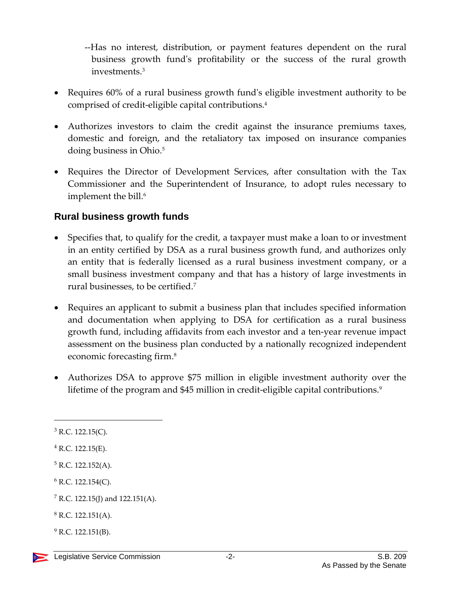--Has no interest, distribution, or payment features dependent on the rural business growth fund's profitability or the success of the rural growth investments.<sup>3</sup>

- Requires 60% of a rural business growth fund's eligible investment authority to be comprised of credit-eligible capital contributions.<sup>4</sup>
- Authorizes investors to claim the credit against the insurance premiums taxes, domestic and foreign, and the retaliatory tax imposed on insurance companies doing business in Ohio. 5
- Requires the Director of Development Services, after consultation with the Tax Commissioner and the Superintendent of Insurance, to adopt rules necessary to implement the bill.<sup>6</sup>

#### **Rural business growth funds**

- Specifies that, to qualify for the credit, a taxpayer must make a loan to or investment in an entity certified by DSA as a rural business growth fund, and authorizes only an entity that is federally licensed as a rural business investment company, or a small business investment company and that has a history of large investments in rural businesses, to be certified.<sup>7</sup>
- Requires an applicant to submit a business plan that includes specified information and documentation when applying to DSA for certification as a rural business growth fund, including affidavits from each investor and a ten-year revenue impact assessment on the business plan conducted by a nationally recognized independent economic forecasting firm.<sup>8</sup>
- Authorizes DSA to approve \$75 million in eligible investment authority over the lifetime of the program and \$45 million in credit-eligible capital contributions. 9

 $3$  R.C. 122.15(C).

 $4$  R.C. 122.15(E).

 $5$  R.C. 122.152(A).

 $6$  R.C. 122.154(C).

 $7$  R.C. 122.15(J) and 122.151(A).

 $8$  R.C. 122.151(A).

 $^{9}$  R.C. 122.151(B).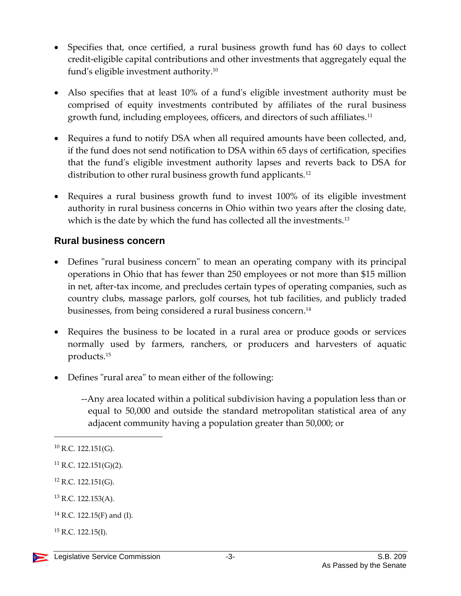- Specifies that, once certified, a rural business growth fund has 60 days to collect credit-eligible capital contributions and other investments that aggregately equal the fund's eligible investment authority.<sup>10</sup>
- Also specifies that at least 10% of a fund's eligible investment authority must be comprised of equity investments contributed by affiliates of the rural business growth fund, including employees, officers, and directors of such affiliates.<sup>11</sup>
- Requires a fund to notify DSA when all required amounts have been collected, and, if the fund does not send notification to DSA within 65 days of certification, specifies that the fund's eligible investment authority lapses and reverts back to DSA for distribution to other rural business growth fund applicants.<sup>12</sup>
- Requires a rural business growth fund to invest 100% of its eligible investment authority in rural business concerns in Ohio within two years after the closing date, which is the date by which the fund has collected all the investments.<sup>13</sup>

#### **Rural business concern**

- Defines "rural business concern" to mean an operating company with its principal operations in Ohio that has fewer than 250 employees or not more than \$15 million in net, after-tax income, and precludes certain types of operating companies, such as country clubs, massage parlors, golf courses, hot tub facilities, and publicly traded businesses, from being considered a rural business concern. 14
- Requires the business to be located in a rural area or produce goods or services normally used by farmers, ranchers, or producers and harvesters of aquatic products.<sup>15</sup>
- Defines "rural area" to mean either of the following:
	- --Any area located within a political subdivision having a population less than or equal to 50,000 and outside the standard metropolitan statistical area of any adjacent community having a population greater than 50,000; or

 $10$  R.C. 122.151(G).

 $11$  R.C. 122.151(G)(2).

 $12$  R.C. 122.151(G).

<sup>13</sup> R.C. 122.153(A).

<sup>14</sup> R.C. 122.15(F) and (I).

 $^{15}$  R.C. 122.15(I).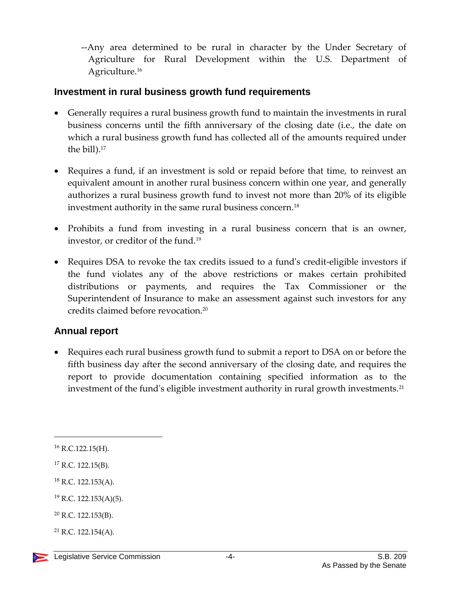--Any area determined to be rural in character by the Under Secretary of Agriculture for Rural Development within the U.S. Department of Agriculture.<sup>16</sup>

#### **Investment in rural business growth fund requirements**

- Generally requires a rural business growth fund to maintain the investments in rural business concerns until the fifth anniversary of the closing date (i.e., the date on which a rural business growth fund has collected all of the amounts required under the bill).<sup>17</sup>
- Requires a fund, if an investment is sold or repaid before that time, to reinvest an equivalent amount in another rural business concern within one year, and generally authorizes a rural business growth fund to invest not more than 20% of its eligible investment authority in the same rural business concern. 18
- Prohibits a fund from investing in a rural business concern that is an owner, investor, or creditor of the fund.<sup>19</sup>
- Requires DSA to revoke the tax credits issued to a fund's credit-eligible investors if the fund violates any of the above restrictions or makes certain prohibited distributions or payments, and requires the Tax Commissioner or the Superintendent of Insurance to make an assessment against such investors for any credits claimed before revocation.<sup>20</sup>

#### **Annual report**

 Requires each rural business growth fund to submit a report to DSA on or before the fifth business day after the second anniversary of the closing date, and requires the report to provide documentation containing specified information as to the investment of the fund's eligible investment authority in rural growth investments.<sup>21</sup>

<sup>16</sup> R.C.122.15(H).

 $17$  R.C. 122.15(B).

<sup>18</sup> R.C. 122.153(A).

<sup>19</sup> R.C. 122.153(A)(5).

<sup>20</sup> R.C. 122.153(B).

 $^{21}$  R.C. 122.154(A).